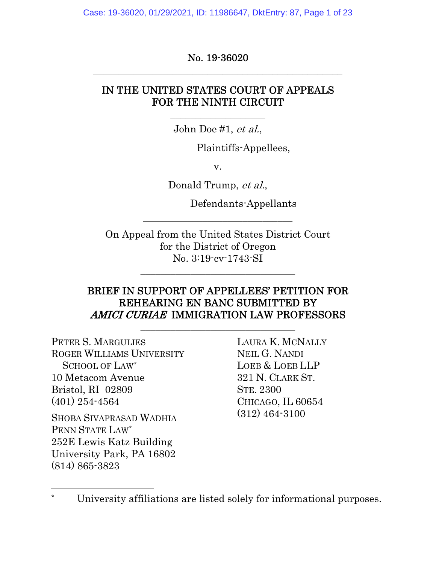Case: 19-36020, 01/29/2021, ID: 11986647, DktEntry: 87, Page 1 of 23

No. 19-36020 \_\_\_\_\_\_\_\_\_\_\_\_\_\_\_\_\_\_\_\_\_\_\_\_\_\_\_\_\_\_\_\_\_\_\_\_\_\_\_\_\_\_\_\_\_\_\_\_\_\_

## IN THE UNITED STATES COURT OF APPEALS FOR THE NINTH CIRCUIT

John Doe #1, et al.,

 $\frac{1}{2}$  , and the set of the set of the set of the set of the set of the set of the set of the set of the set of the set of the set of the set of the set of the set of the set of the set of the set of the set of the set

Plaintiffs-Appellees,

v.

Donald Trump, et al.,

\_\_\_\_\_\_\_\_\_\_\_\_\_\_\_\_\_\_\_\_\_\_\_\_\_\_\_\_\_\_

Defendants-Appellants

On Appeal from the United States District Court for the District of Oregon No. 3:19-cv-1743-SI

\_\_\_\_\_\_\_\_\_\_\_\_\_\_\_\_\_\_\_\_\_\_\_\_\_\_\_\_\_\_\_

### BRIEF IN SUPPORT OF APPELLEES' PETITION FOR REHEARING EN BANC SUBMITTED BY AMICI CURIAE IMMIGRATION LAW PROFESSORS

\_\_\_\_\_\_\_\_\_\_\_\_\_\_\_\_\_\_\_\_\_\_\_\_\_\_\_\_\_\_\_

PETER S. MARGULIES ROGER WILLIAMS UNIVERSITY SCHOOL OF LAW\* 10 Metacom Avenue Bristol, RI 02809 (401) 254-4564 SHOBA SIVAPRASAD WADHIA PENN STATE LAW\* 252E Lewis Katz Building University Park, PA 16802 (814) 865-3823

 $\overline{a}$ 

LAURA K. MCNALLY NEIL G. NANDI LOEB & LOEB LLP 321 N. CLARK ST. STE. 2300 CHICAGO, IL 60654 (312) 464-3100

University affiliations are listed solely for informational purposes.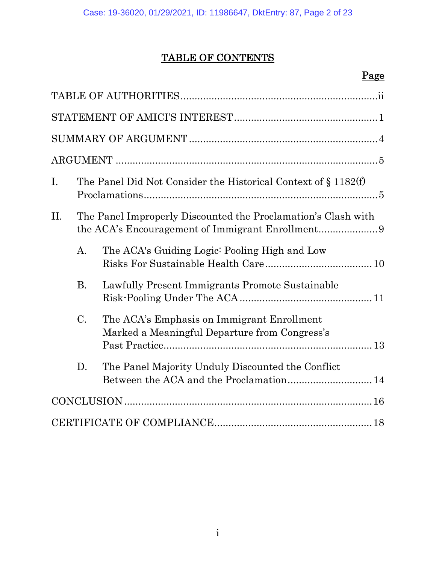## TABLE OF CONTENTS

## Page

| I.  | The Panel Did Not Consider the Historical Context of § 1182(f) |                                                                                             |  |
|-----|----------------------------------------------------------------|---------------------------------------------------------------------------------------------|--|
| II. | The Panel Improperly Discounted the Proclamation's Clash with  |                                                                                             |  |
|     | $\mathbf{A}$ .                                                 | The ACA's Guiding Logic: Pooling High and Low                                               |  |
|     | <b>B.</b>                                                      | Lawfully Present Immigrants Promote Sustainable                                             |  |
|     | $C$ .                                                          | The ACA's Emphasis on Immigrant Enrollment<br>Marked a Meaningful Departure from Congress's |  |
|     | D.                                                             | The Panel Majority Unduly Discounted the Conflict                                           |  |
|     |                                                                |                                                                                             |  |
|     |                                                                |                                                                                             |  |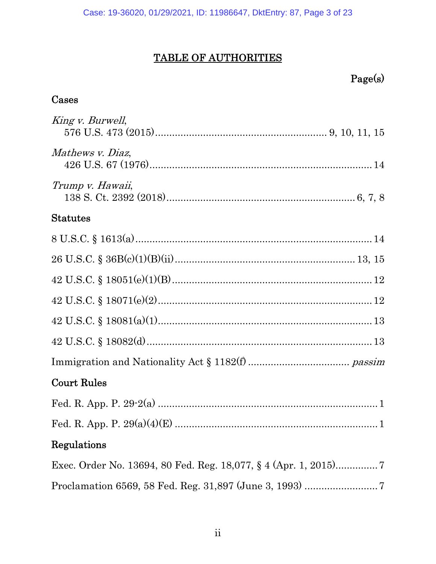## TABLE OF AUTHORITIES

| Page(s)                                                         |
|-----------------------------------------------------------------|
| $\rm{Cases}$                                                    |
| King v. Burwell,                                                |
| Mathews v. Diaz,                                                |
| Trump v. Hawaii,                                                |
| ${\rm Statutes}$                                                |
|                                                                 |
|                                                                 |
|                                                                 |
|                                                                 |
|                                                                 |
|                                                                 |
|                                                                 |
| $\rm{Court\ Rules}$                                             |
|                                                                 |
|                                                                 |
| Regulations                                                     |
| Exec. Order No. 13694, 80 Fed. Reg. 18,077, § 4 (Apr. 1, 2015)7 |
|                                                                 |
|                                                                 |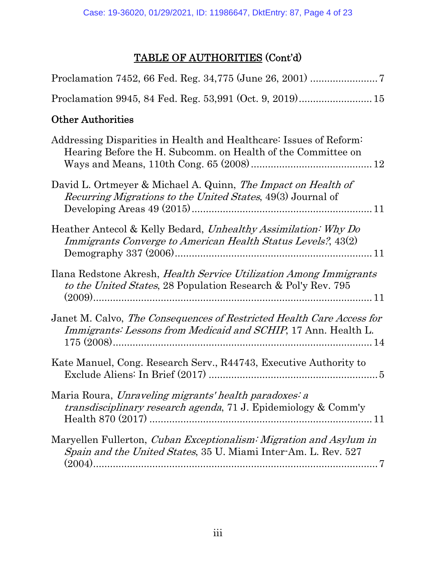## TABLE OF AUTHORITIES (Cont'd)

| <b>Other Authorities</b>                                                                                                                        |
|-------------------------------------------------------------------------------------------------------------------------------------------------|
| Addressing Disparities in Health and Healthcare: Issues of Reform:<br>Hearing Before the H. Subcomm. on Health of the Committee on              |
| David L. Ortmeyer & Michael A. Quinn, The Impact on Health of<br>Recurring Migrations to the United States, 49(3) Journal of                    |
| Heather Antecol & Kelly Bedard, Unhealthy Assimilation: Why Do<br>Immigrants Converge to American Health Status Levels?, 43(2)                  |
| Ilana Redstone Akresh, <i>Health Service Utilization Among Immigrants</i><br>to the United States, 28 Population Research & Pol'y Rev. 795      |
| Janet M. Calvo, The Consequences of Restricted Health Care Access for<br><i>Immigrants: Lessons from Medicaid and SCHIP</i> , 17 Ann. Health L. |
| Kate Manuel, Cong. Research Serv., R44743, Executive Authority to                                                                               |
| Maria Roura, Unraveling migrants' health paradoxes: a<br>transdisciplinary research agenda, 71 J. Epidemiology & Comm'y                         |
| Maryellen Fullerton, <i>Cuban Exceptionalism: Migration and Asylum in</i><br>Spain and the United States, 35 U. Miami Inter-Am. L. Rev. 527     |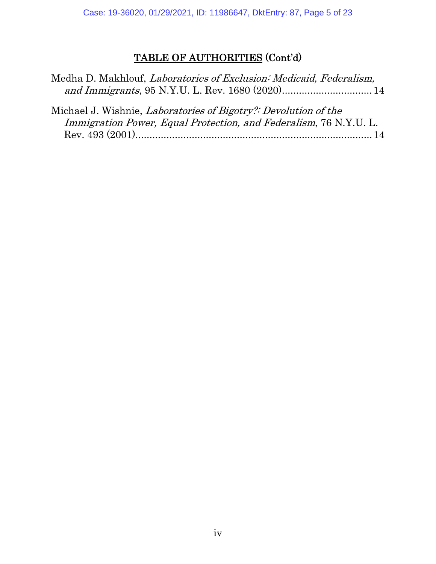## TABLE OF AUTHORITIES (Cont'd)

| Medha D. Makhlouf, Laboratories of Exclusion: Medicaid, Federalism, |  |
|---------------------------------------------------------------------|--|
|                                                                     |  |

| Michael J. Wishnie, Laboratories of Bigotry?: Devolution of the   |  |  |  |  |
|-------------------------------------------------------------------|--|--|--|--|
| Immigration Power, Equal Protection, and Federalism, 76 N.Y.U. L. |  |  |  |  |
|                                                                   |  |  |  |  |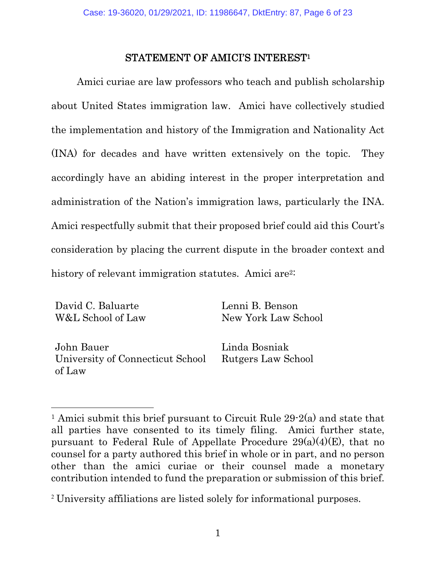#### STATEMENT OF AMICI'S INTEREST1

Amici curiae are law professors who teach and publish scholarship about United States immigration law. Amici have collectively studied the implementation and history of the Immigration and Nationality Act (INA) for decades and have written extensively on the topic. They accordingly have an abiding interest in the proper interpretation and administration of the Nation's immigration laws, particularly the INA. Amici respectfully submit that their proposed brief could aid this Court's consideration by placing the current dispute in the broader context and history of relevant immigration statutes. Amici are<sup>2:</sup>

David C. Baluarte W&L School of Law

 $\overline{a}$ 

Lenni B. Benson New York Law School

John Bauer University of Connecticut School of Law

Linda Bosniak Rutgers Law School

<sup>2</sup> University affiliations are listed solely for informational purposes.

<sup>1</sup> Amici submit this brief pursuant to Circuit Rule 29-2(a) and state that all parties have consented to its timely filing. Amici further state, pursuant to Federal Rule of Appellate Procedure  $29(a)(4)(E)$ , that no counsel for a party authored this brief in whole or in part, and no person other than the amici curiae or their counsel made a monetary contribution intended to fund the preparation or submission of this brief.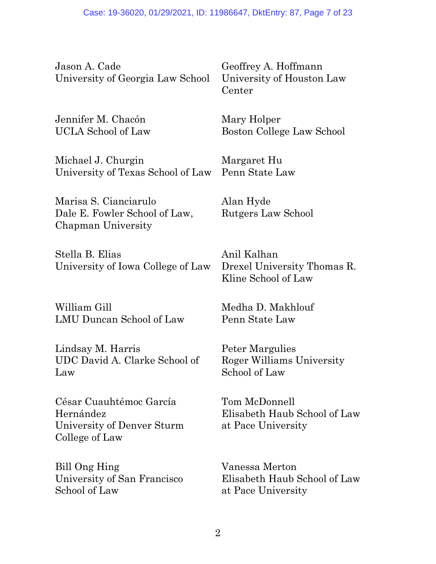Jason A. Cade University of Georgia Law School

Jennifer M. Chacón UCLA School of Law

Michael J. Churgin University of Texas School of Law

Marisa S. Cianciarulo Dale E. Fowler School of Law, Chapman University

Stella B. Elias University of Iowa College of Law

William Gill LMU Duncan School of Law

Lindsay M. Harris UDC David A. Clarke School of Law

César Cuauhtémoc García Hernández University of Denver Sturm College of Law

Bill Ong Hing University of San Francisco School of Law

Geoffrey A. Hoffmann University of Houston Law Center

Mary Holper Boston College Law School

Margaret Hu Penn State Law

Alan Hyde Rutgers Law School

Anil Kalhan Drexel University Thomas R. Kline School of Law

Medha D. Makhlouf Penn State Law

Peter Margulies Roger Williams University School of Law

Tom McDonnell Elisabeth Haub School of Law at Pace University

Vanessa Merton Elisabeth Haub School of Law at Pace University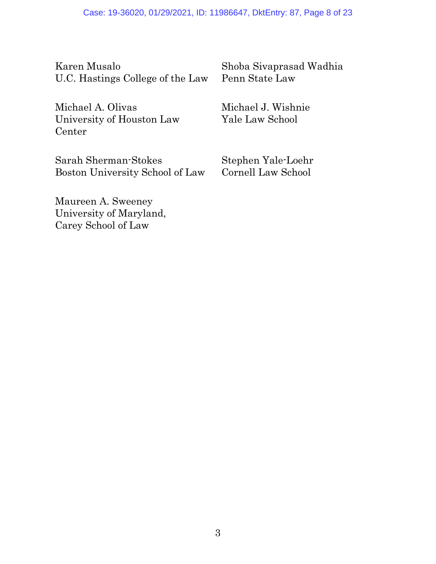Karen Musalo U.C. Hastings College of the Law

Michael A. Olivas University of Houston Law Center

Shoba Sivaprasad Wadhia Penn State Law

Michael J. Wishnie Yale Law School

Sarah Sherman-Stokes Boston University School of Law Stephen Yale-Loehr Cornell Law School

Maureen A. Sweeney University of Maryland, Carey School of Law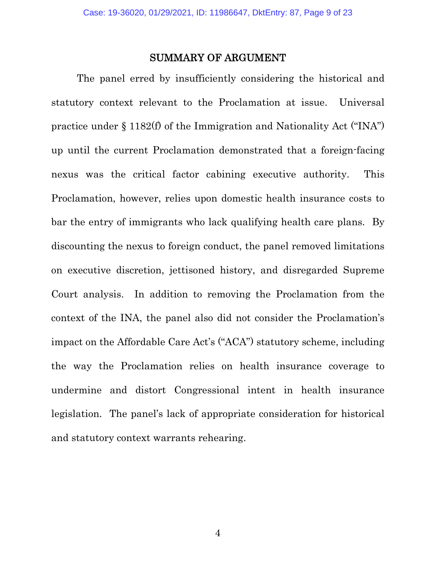#### SUMMARY OF ARGUMENT

The panel erred by insufficiently considering the historical and statutory context relevant to the Proclamation at issue. Universal practice under § 1182(f) of the Immigration and Nationality Act ("INA") up until the current Proclamation demonstrated that a foreign-facing nexus was the critical factor cabining executive authority. This Proclamation, however, relies upon domestic health insurance costs to bar the entry of immigrants who lack qualifying health care plans. By discounting the nexus to foreign conduct, the panel removed limitations on executive discretion, jettisoned history, and disregarded Supreme Court analysis. In addition to removing the Proclamation from the context of the INA, the panel also did not consider the Proclamation's impact on the Affordable Care Act's ("ACA") statutory scheme, including the way the Proclamation relies on health insurance coverage to undermine and distort Congressional intent in health insurance legislation. The panel's lack of appropriate consideration for historical and statutory context warrants rehearing.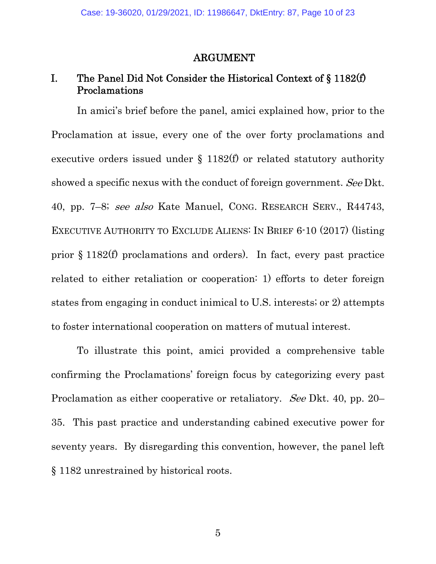#### ARGUMENT

### I. The Panel Did Not Consider the Historical Context of § 1182(f) Proclamations

In amici's brief before the panel, amici explained how, prior to the Proclamation at issue, every one of the over forty proclamations and executive orders issued under  $\S$  1182(f) or related statutory authority showed a specific nexus with the conduct of foreign government. See Dkt. 40, pp. 7–8; see also Kate Manuel, CONG. RESEARCH SERV., R44743, EXECUTIVE AUTHORITY TO EXCLUDE ALIENS: IN BRIEF 6-10 (2017) (listing prior § 1182(f) proclamations and orders). In fact, every past practice related to either retaliation or cooperation: 1) efforts to deter foreign states from engaging in conduct inimical to U.S. interests; or 2) attempts to foster international cooperation on matters of mutual interest.

To illustrate this point, amici provided a comprehensive table confirming the Proclamations' foreign focus by categorizing every past Proclamation as either cooperative or retaliatory. See Dkt. 40, pp. 20– 35. This past practice and understanding cabined executive power for seventy years. By disregarding this convention, however, the panel left § 1182 unrestrained by historical roots.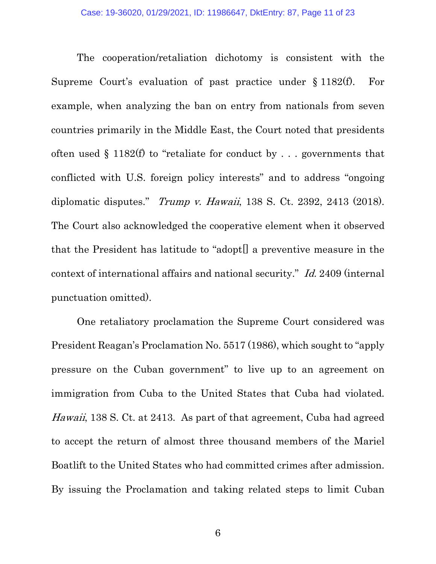The cooperation/retaliation dichotomy is consistent with the Supreme Court's evaluation of past practice under § 1182(f). For example, when analyzing the ban on entry from nationals from seven countries primarily in the Middle East, the Court noted that presidents often used  $\S$  1182(f) to "retaliate for conduct by ... governments that conflicted with U.S. foreign policy interests" and to address "ongoing diplomatic disputes." Trump v. Hawaii, 138 S. Ct. 2392, 2413 (2018). The Court also acknowledged the cooperative element when it observed that the President has latitude to "adopt[] a preventive measure in the context of international affairs and national security." Id. 2409 (internal punctuation omitted).

One retaliatory proclamation the Supreme Court considered was President Reagan's Proclamation No. 5517 (1986), which sought to "apply pressure on the Cuban government" to live up to an agreement on immigration from Cuba to the United States that Cuba had violated. Hawaii, 138 S. Ct. at 2413. As part of that agreement, Cuba had agreed to accept the return of almost three thousand members of the Mariel Boatlift to the United States who had committed crimes after admission. By issuing the Proclamation and taking related steps to limit Cuban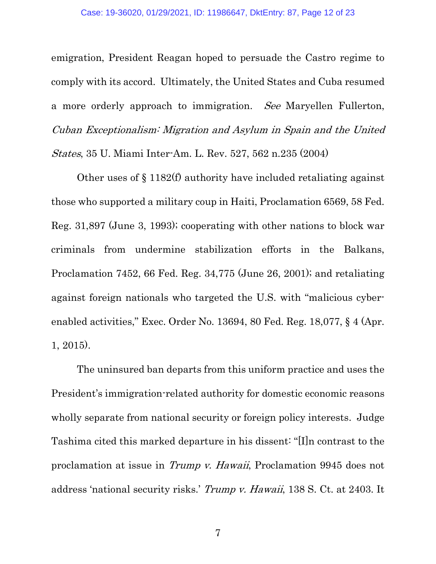emigration, President Reagan hoped to persuade the Castro regime to comply with its accord. Ultimately, the United States and Cuba resumed a more orderly approach to immigration. See Maryellen Fullerton, Cuban Exceptionalism: Migration and Asylum in Spain and the United States, 35 U. Miami Inter-Am. L. Rev. 527, 562 n.235 (2004)

Other uses of § 1182(f) authority have included retaliating against those who supported a military coup in Haiti, Proclamation 6569, 58 Fed. Reg. 31,897 (June 3, 1993); cooperating with other nations to block war criminals from undermine stabilization efforts in the Balkans, Proclamation 7452, 66 Fed. Reg. 34,775 (June 26, 2001); and retaliating against foreign nationals who targeted the U.S. with "malicious cyberenabled activities," Exec. Order No. 13694, 80 Fed. Reg. 18,077, § 4 (Apr. 1, 2015).

The uninsured ban departs from this uniform practice and uses the President's immigration-related authority for domestic economic reasons wholly separate from national security or foreign policy interests. Judge Tashima cited this marked departure in his dissent: "[I]n contrast to the proclamation at issue in Trump v. Hawaii, Proclamation 9945 does not address 'national security risks.' Trump v. Hawaii, 138 S. Ct. at 2403. It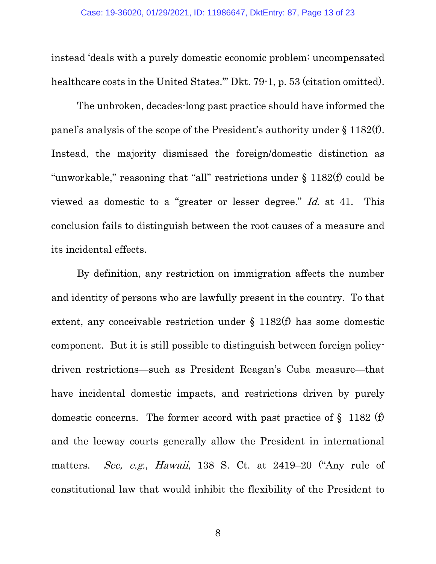instead 'deals with a purely domestic economic problem: uncompensated healthcare costs in the United States." Dkt. 79-1, p. 53 (citation omitted).

The unbroken, decades-long past practice should have informed the panel's analysis of the scope of the President's authority under § 1182(f). Instead, the majority dismissed the foreign/domestic distinction as "unworkable," reasoning that "all" restrictions under § 1182(f) could be viewed as domestic to a "greater or lesser degree." Id. at 41. This conclusion fails to distinguish between the root causes of a measure and its incidental effects.

By definition, any restriction on immigration affects the number and identity of persons who are lawfully present in the country. To that extent, any conceivable restriction under § 1182(f) has some domestic component. But it is still possible to distinguish between foreign policydriven restrictions—such as President Reagan's Cuba measure—that have incidental domestic impacts, and restrictions driven by purely domestic concerns. The former accord with past practice of  $\S$  1182 (f) and the leeway courts generally allow the President in international matters. See, e.g., Hawaii, 138 S. Ct. at 2419–20 ("Any rule of constitutional law that would inhibit the flexibility of the President to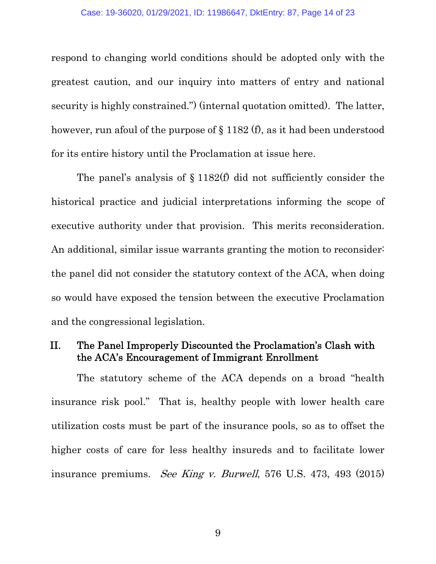respond to changing world conditions should be adopted only with the greatest caution, and our inquiry into matters of entry and national security is highly constrained.") (internal quotation omitted). The latter, however, run afoul of the purpose of § 1182 (f), as it had been understood for its entire history until the Proclamation at issue here.

The panel's analysis of § 1182(f) did not sufficiently consider the historical practice and judicial interpretations informing the scope of executive authority under that provision. This merits reconsideration. An additional, similar issue warrants granting the motion to reconsider: the panel did not consider the statutory context of the ACA, when doing so would have exposed the tension between the executive Proclamation and the congressional legislation.

### II. The Panel Improperly Discounted the Proclamation's Clash with the ACA's Encouragement of Immigrant Enrollment

The statutory scheme of the ACA depends on a broad "health insurance risk pool." That is, healthy people with lower health care utilization costs must be part of the insurance pools, so as to offset the higher costs of care for less healthy insureds and to facilitate lower insurance premiums. See King v. Burwell, 576 U.S. 473, 493 (2015)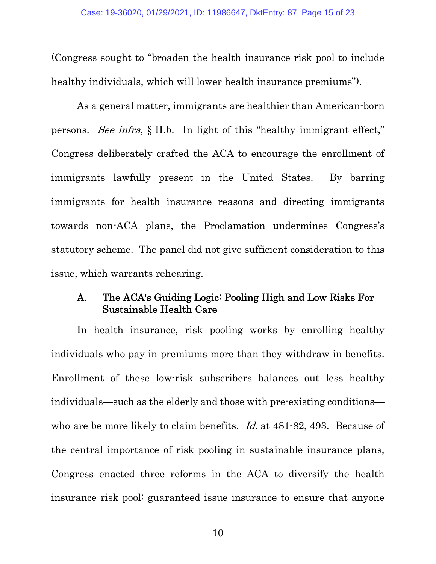(Congress sought to "broaden the health insurance risk pool to include healthy individuals, which will lower health insurance premiums").

As a general matter, immigrants are healthier than American-born persons. See infra, § II.b. In light of this "healthy immigrant effect," Congress deliberately crafted the ACA to encourage the enrollment of immigrants lawfully present in the United States. By barring immigrants for health insurance reasons and directing immigrants towards non-ACA plans, the Proclamation undermines Congress's statutory scheme. The panel did not give sufficient consideration to this issue, which warrants rehearing.

#### A. The ACA's Guiding Logic: Pooling High and Low Risks For Sustainable Health Care

In health insurance, risk pooling works by enrolling healthy individuals who pay in premiums more than they withdraw in benefits. Enrollment of these low-risk subscribers balances out less healthy individuals—such as the elderly and those with pre-existing conditions who are be more likely to claim benefits. *Id.* at 481-82, 493. Because of the central importance of risk pooling in sustainable insurance plans, Congress enacted three reforms in the ACA to diversify the health insurance risk pool: guaranteed issue insurance to ensure that anyone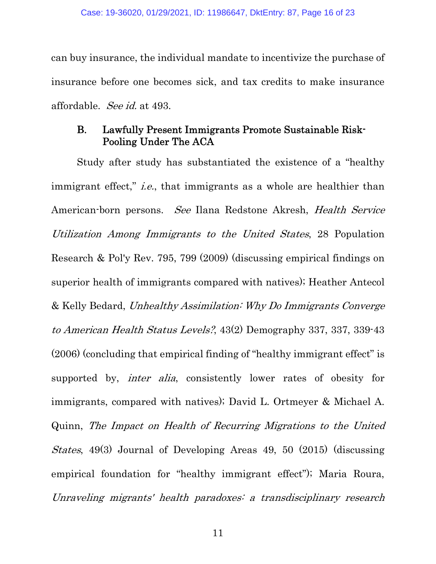can buy insurance, the individual mandate to incentivize the purchase of insurance before one becomes sick, and tax credits to make insurance affordable. See id. at 493.

#### B. Lawfully Present Immigrants Promote Sustainable Risk-Pooling Under The ACA

Study after study has substantiated the existence of a "healthy immigrant effect," *i.e.*, that immigrants as a whole are healthier than American-born persons. See Ilana Redstone Akresh, Health Service Utilization Among Immigrants to the United States, 28 Population Research & Pol'y Rev. 795, 799 (2009) (discussing empirical findings on superior health of immigrants compared with natives); Heather Antecol & Kelly Bedard, Unhealthy Assimilation: Why Do Immigrants Converge to American Health Status Levels?, 43(2) Demography 337, 337, 339-43 (2006) (concluding that empirical finding of "healthy immigrant effect" is supported by, *inter alia*, consistently lower rates of obesity for immigrants, compared with natives); David L. Ortmeyer & Michael A. Quinn, The Impact on Health of Recurring Migrations to the United States, 49(3) Journal of Developing Areas 49, 50 (2015) (discussing empirical foundation for "healthy immigrant effect"); Maria Roura, Unraveling migrants' health paradoxes: a transdisciplinary research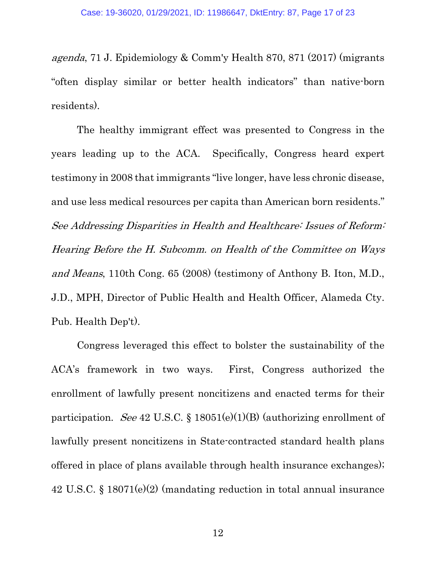agenda, 71 J. Epidemiology & Comm'y Health 870, 871 (2017) (migrants "often display similar or better health indicators" than native-born residents).

The healthy immigrant effect was presented to Congress in the years leading up to the ACA. Specifically, Congress heard expert testimony in 2008 that immigrants "live longer, have less chronic disease, and use less medical resources per capita than American born residents." See Addressing Disparities in Health and Healthcare: Issues of Reform: Hearing Before the H. Subcomm. on Health of the Committee on Ways and Means, 110th Cong. 65 (2008) (testimony of Anthony B. Iton, M.D., J.D., MPH, Director of Public Health and Health Officer, Alameda Cty. Pub. Health Dep't).

Congress leveraged this effect to bolster the sustainability of the ACA's framework in two ways. First, Congress authorized the enrollment of lawfully present noncitizens and enacted terms for their participation. See 42 U.S.C. § 18051(e)(1)(B) (authorizing enrollment of lawfully present noncitizens in State-contracted standard health plans offered in place of plans available through health insurance exchanges); 42 U.S.C. § 18071(e)(2) (mandating reduction in total annual insurance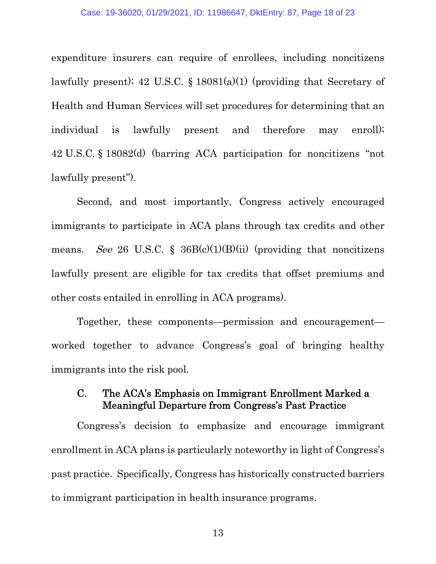expenditure insurers can require of enrollees, including noncitizens lawfully present); 42 U.S.C.  $\S$  18081(a)(1) (providing that Secretary of Health and Human Services will set procedures for determining that an individual is lawfully present and therefore may enroll); 42 U.S.C. § 18082(d) (barring ACA participation for noncitizens "not lawfully present").

Second, and most importantly, Congress actively encouraged immigrants to participate in ACA plans through tax credits and other means. See 26 U.S.C. § 36B(c)(1)(B)(ii) (providing that noncitizens lawfully present are eligible for tax credits that offset premiums and other costs entailed in enrolling in ACA programs).

Together, these components—permission and encouragement worked together to advance Congress's goal of bringing healthy immigrants into the risk pool.

### C. The ACA's Emphasis on Immigrant Enrollment Marked a Meaningful Departure from Congress's Past Practice

Congress's decision to emphasize and encourage immigrant enrollment in ACA plans is particularly noteworthy in light of Congress's past practice. Specifically, Congress has historically constructed barriers to immigrant participation in health insurance programs.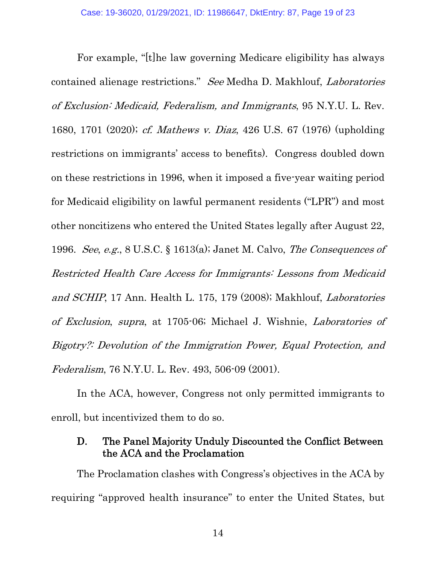For example, "[t]he law governing Medicare eligibility has always contained alienage restrictions." See Medha D. Makhlouf, Laboratories of Exclusion: Medicaid, Federalism, and Immigrants, 95 N.Y.U. L. Rev. 1680, 1701 (2020); cf. Mathews v. Diaz, 426 U.S. 67 (1976) (upholding restrictions on immigrants' access to benefits). Congress doubled down on these restrictions in 1996, when it imposed a five-year waiting period for Medicaid eligibility on lawful permanent residents ("LPR") and most other noncitizens who entered the United States legally after August 22, 1996. See, e.g., 8 U.S.C. § 1613(a); Janet M. Calvo, The Consequences of Restricted Health Care Access for Immigrants: Lessons from Medicaid and SCHIP, 17 Ann. Health L. 175, 179 (2008); Makhlouf, Laboratories of Exclusion, supra, at 1705-06; Michael J. Wishnie, Laboratories of Bigotry?: Devolution of the Immigration Power, Equal Protection, and Federalism, 76 N.Y.U. L. Rev. 493, 506-09 (2001).

In the ACA, however, Congress not only permitted immigrants to enroll, but incentivized them to do so.

### D. The Panel Majority Unduly Discounted the Conflict Between the ACA and the Proclamation

The Proclamation clashes with Congress's objectives in the ACA by requiring "approved health insurance" to enter the United States, but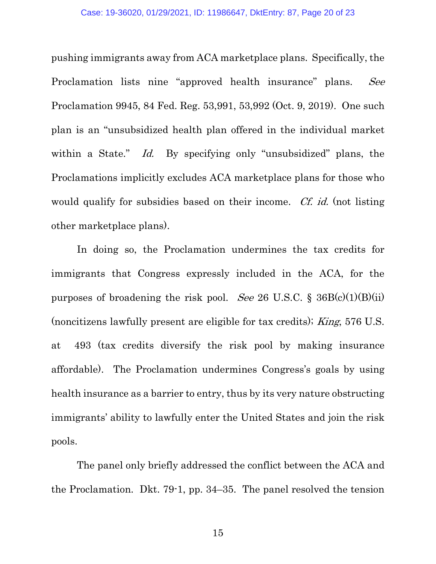pushing immigrants away from ACA marketplace plans. Specifically, the Proclamation lists nine "approved health insurance" plans. See Proclamation 9945, 84 Fed. Reg. 53,991, 53,992 (Oct. 9, 2019). One such plan is an "unsubsidized health plan offered in the individual market within a State." Id. By specifying only "unsubsidized" plans, the Proclamations implicitly excludes ACA marketplace plans for those who would qualify for subsidies based on their income. Cf. id. (not listing other marketplace plans).

In doing so, the Proclamation undermines the tax credits for immigrants that Congress expressly included in the ACA, for the purposes of broadening the risk pool. See 26 U.S.C. §  $36B(c)(1)(B)(ii)$ (noncitizens lawfully present are eligible for tax credits); King, 576 U.S. at 493 (tax credits diversify the risk pool by making insurance affordable). The Proclamation undermines Congress's goals by using health insurance as a barrier to entry, thus by its very nature obstructing immigrants' ability to lawfully enter the United States and join the risk pools.

The panel only briefly addressed the conflict between the ACA and the Proclamation. Dkt. 79-1, pp. 34–35. The panel resolved the tension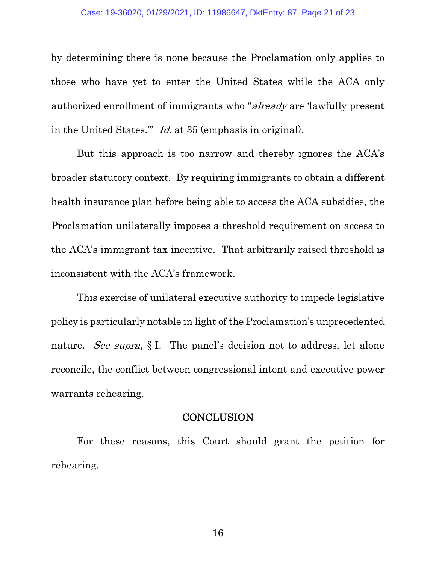by determining there is none because the Proclamation only applies to those who have yet to enter the United States while the ACA only authorized enrollment of immigrants who "already are 'lawfully present in the United States.'" Id. at 35 (emphasis in original).

But this approach is too narrow and thereby ignores the ACA's broader statutory context. By requiring immigrants to obtain a different health insurance plan before being able to access the ACA subsidies, the Proclamation unilaterally imposes a threshold requirement on access to the ACA's immigrant tax incentive. That arbitrarily raised threshold is inconsistent with the ACA's framework.

This exercise of unilateral executive authority to impede legislative policy is particularly notable in light of the Proclamation's unprecedented nature. See supra, § I. The panel's decision not to address, let alone reconcile, the conflict between congressional intent and executive power warrants rehearing.

#### **CONCLUSION**

For these reasons, this Court should grant the petition for rehearing.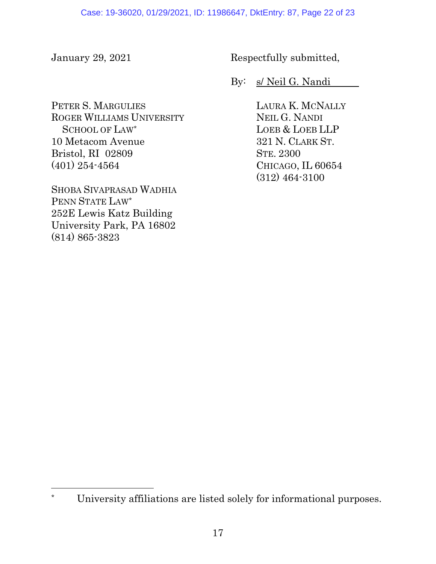PETER S. MARGULIES ROGER WILLIAMS UNIVERSITY SCHOOL OF LAW\* 10 Metacom Avenue Bristol, RI 02809 (401) 254-4564

SHOBA SIVAPRASAD WADHIA PENN STATE LAW\* 252E Lewis Katz Building University Park, PA 16802 (814) 865-3823

 $\overline{a}$ 

January 29, 2021 Respectfully submitted,

By: s/ Neil G. Nandi

LAURA K. MCNALLY NEIL G. NANDI LOEB & LOEB LLP 321 N. CLARK ST. STE. 2300 CHICAGO, IL 60654 (312) 464-3100

University affiliations are listed solely for informational purposes.